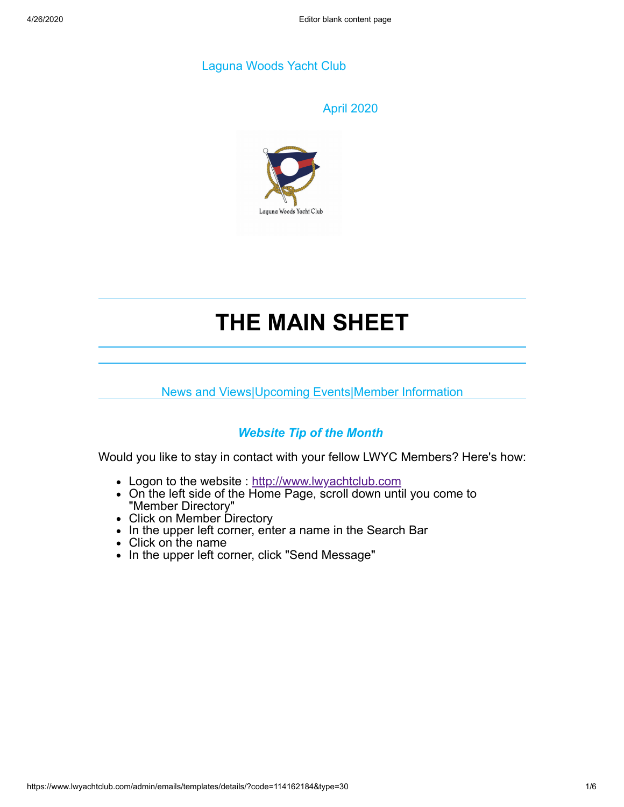### Laguna Woods Yacht Club

#### April 2020



# **THE MAIN SHEET**

News and Views|Upcoming Events|Member Information

# *Website Tip of the Month*

Would you like to stay in contact with your fellow LWYC Members? Here's how:

- Logon to the website : [http://www.lwyachtclub.com](http://www.lwyachtclub.com/)
- On the left side of the Home Page, scroll down until you come to "Member Directory"
- Click on Member Directory
- In the upper left corner, enter a name in the Search Bar
- Click on the name
- In the upper left corner, click "Send Message"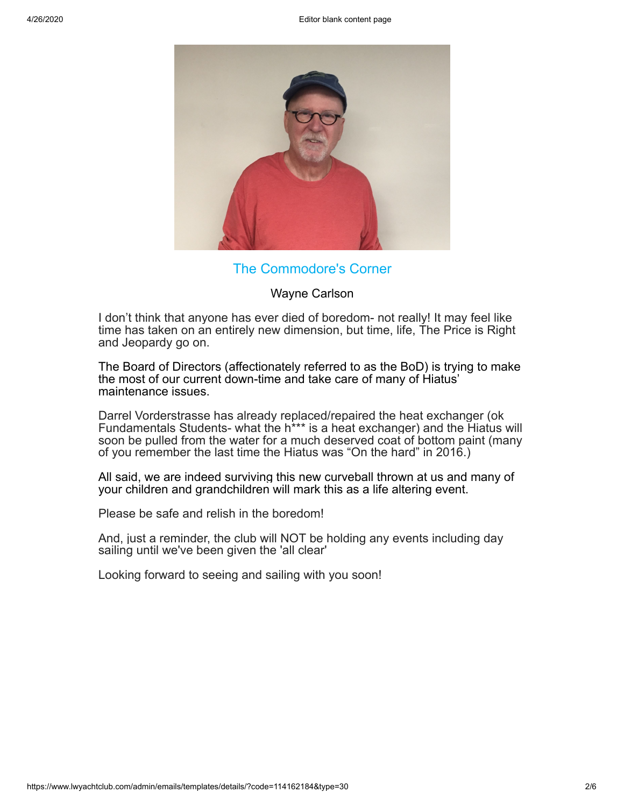

## The Commodore's Corner

Wayne Carlson

I don't think that anyone has ever died of boredom- not really! It may feel like time has taken on an entirely new dimension, but time, life, The Price is Right and Jeopardy go on.

The Board of Directors (affectionately referred to as the BoD) is trying to make the most of our current down-time and take care of many of Hiatus' maintenance issues.

Darrel Vorderstrasse has already replaced/repaired the heat exchanger (ok Fundamentals Students- what the h\*\*\* is a heat exchanger) and the Hiatus will soon be pulled from the water for a much deserved coat of bottom paint (many of you remember the last time the Hiatus was "On the hard" in 2016.)

All said, we are indeed surviving this new curveball thrown at us and many of your children and grandchildren will mark this as a life altering event.

Please be safe and relish in the boredom!

And, just a reminder, the club will NOT be holding any events including day sailing until we've been given the 'all clear'

Looking forward to seeing and sailing with you soon!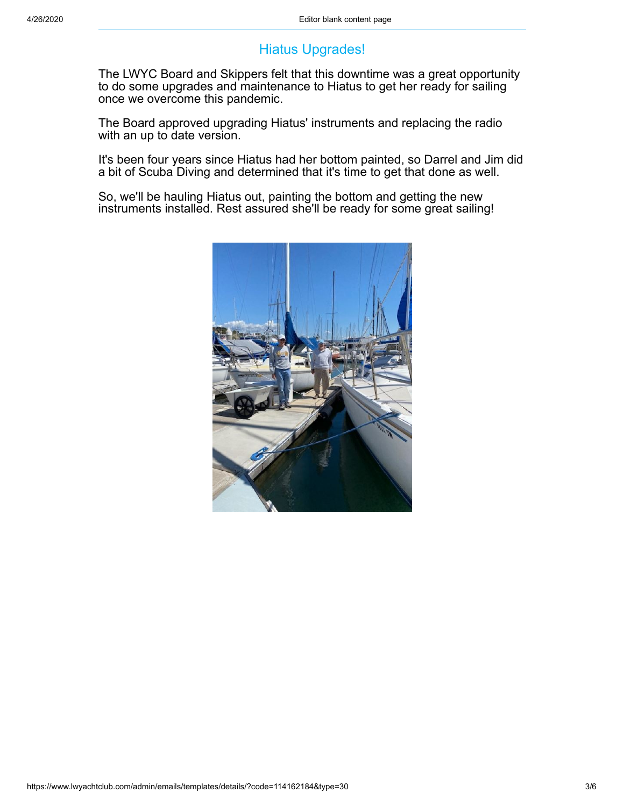# Hiatus Upgrades!

The LWYC Board and Skippers felt that this downtime was a great opportunity to do some upgrades and maintenance to Hiatus to get her ready for sailing once we overcome this pandemic.

The Board approved upgrading Hiatus' instruments and replacing the radio with an up to date version.

It's been four years since Hiatus had her bottom painted, so Darrel and Jim did a bit of Scuba Diving and determined that it's time to get that done as well.

So, we'll be hauling Hiatus out, painting the bottom and getting the new instruments installed. Rest assured she'll be ready for some great sailing!

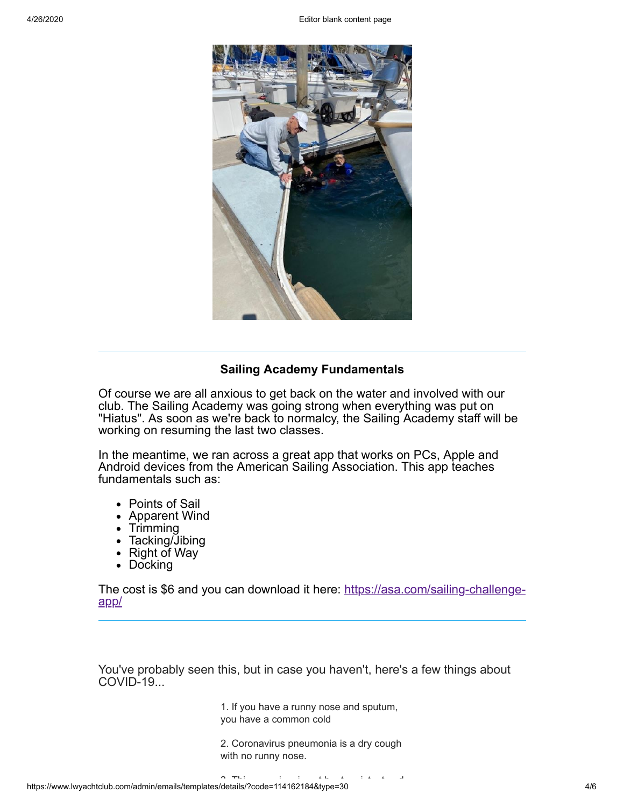

#### **Sailing Academy Fundamentals**

Of course we are all anxious to get back on the water and involved with our club. The Sailing Academy was going strong when everything was put on "Hiatus". As soon as we're back to normalcy, the Sailing Academy staff will be working on resuming the last two classes.

In the meantime, we ran across a great app that works on PCs, Apple and Android devices from the American Sailing Association. This app teaches fundamentals such as:

- Points of Sail
- Apparent Wind
- $\bullet$  Trimming
- Tacking/Jibing
- Right of Way
- Docking

[The cost is \\$6 and you can download it here: https://asa.com/sailing-challenge](https://asa.com/sailing-challenge-app/)app/

You've probably seen this, but in case you haven't, here's a few things about COVID-19...

> 1. If you have a runny nose and sputum, you have a common cold

2. Coronavirus pneumonia is a dry cough with no runny nose.